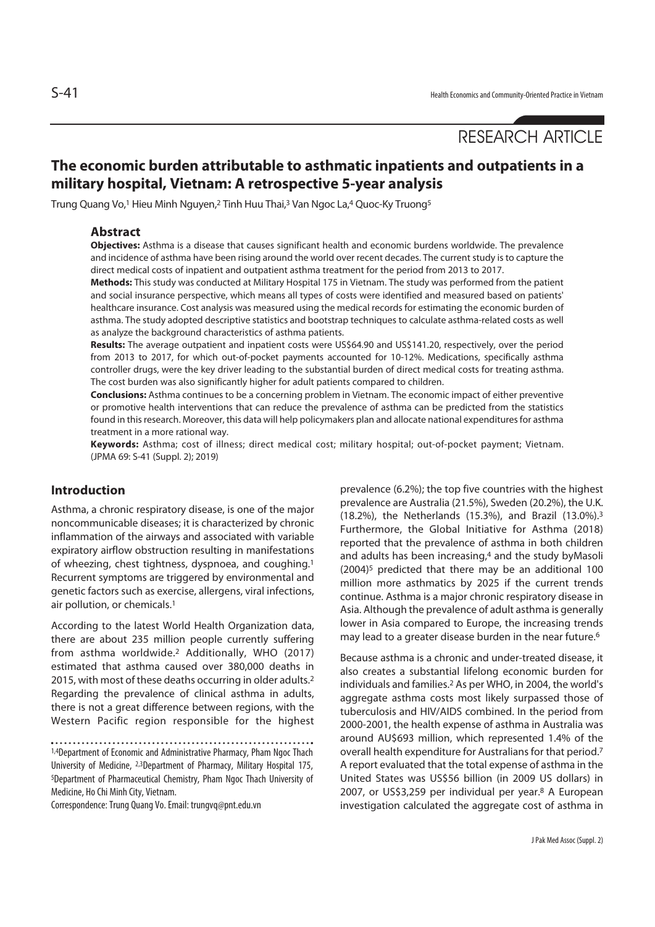# RESEARCH ARTICLE

# **The economic burden attributable to asthmatic inpatients and outpatients in a military hospital, Vietnam: A retrospective 5-year analysis**

Trung Quang Vo,1 Hieu Minh Nguyen,2 Tinh Huu Thai,3 Van Ngoc La,4 Quoc-Ky Truong5

### **Abstract**

**Objectives:** Asthma is a disease that causes significant health and economic burdens worldwide. The prevalence and incidence of asthma have been rising around the world over recent decades. The current study is to capture the direct medical costs of inpatient and outpatient asthma treatment for the period from 2013 to 2017.

**Methods:** This study was conducted at Military Hospital 175 in Vietnam. The study was performed from the patient and social insurance perspective, which means all types of costs were identified and measured based on patients' healthcare insurance. Cost analysis was measured using the medical records for estimating the economic burden of asthma. The study adopted descriptive statistics and bootstrap techniques to calculate asthma-related costs as well as analyze the background characteristics of asthma patients.

**Results:** The average outpatient and inpatient costs were US\$64.90 and US\$141.20, respectively, over the period from 2013 to 2017, for which out-of-pocket payments accounted for 10-12%. Medications, specifically asthma controller drugs, were the key driver leading to the substantial burden of direct medical costs for treating asthma. The cost burden was also significantly higher for adult patients compared to children.

**Conclusions:** Asthma continues to be a concerning problem in Vietnam. The economic impact of either preventive or promotive health interventions that can reduce the prevalence of asthma can be predicted from the statistics found in this research. Moreover, this data will help policymakers plan and allocate national expenditures for asthma treatment in a more rational way.

**Keywords:** Asthma; cost of illness; direct medical cost; military hospital; out-of-pocket payment; Vietnam. (JPMA 69: S-41 (Suppl. 2); 2019)

# **Introduction**

Asthma, a chronic respiratory disease, is one of the major noncommunicable diseases; it is characterized by chronic inflammation of the airways and associated with variable expiratory airflow obstruction resulting in manifestations of wheezing, chest tightness, dyspnoea, and coughing.1 Recurrent symptoms are triggered by environmental and genetic factors such as exercise, allergens, viral infections, air pollution, or chemicals.1

According to the latest World Health Organization data, there are about 235 million people currently suffering from asthma worldwide.2 Additionally, WHO (2017) estimated that asthma caused over 380,000 deaths in 2015, with most of these deaths occurring in older adults.2 Regarding the prevalence of clinical asthma in adults, there is not a great difference between regions, with the Western Pacific region responsible for the highest

1,4Department of Economic and Administrative Pharmacy, Pham Ngoc Thach University of Medicine, 2,3Department of Pharmacy, Military Hospital 175, 5Department of Pharmaceutical Chemistry, Pham Ngoc Thach University of Medicine, Ho Chi Minh City, Vietnam.

Correspondence: Trung Quang Vo. Email: trungvq@pnt.edu.vn

prevalence (6.2%); the top five countries with the highest prevalence are Australia (21.5%), Sweden (20.2%), the U.K. (18.2%), the Netherlands (15.3%), and Brazil (13.0%).3 Furthermore, the Global Initiative for Asthma (2018) reported that the prevalence of asthma in both children and adults has been increasing,<sup>4</sup> and the study byMasoli (2004)5 predicted that there may be an additional 100 million more asthmatics by 2025 if the current trends continue. Asthma is a major chronic respiratory disease in Asia. Although the prevalence of adult asthma is generally lower in Asia compared to Europe, the increasing trends may lead to a greater disease burden in the near future.<sup>6</sup>

Because asthma is a chronic and under-treated disease, it also creates a substantial lifelong economic burden for individuals and families.2 As per WHO, in 2004, the world's aggregate asthma costs most likely surpassed those of tuberculosis and HIV/AIDS combined. In the period from 2000-2001, the health expense of asthma in Australia was around AU\$693 million, which represented 1.4% of the overall health expenditure for Australians for that period.7 A report evaluated that the total expense of asthma in the United States was US\$56 billion (in 2009 US dollars) in 2007, or US\$3,259 per individual per year.<sup>8</sup> A European investigation calculated the aggregate cost of asthma in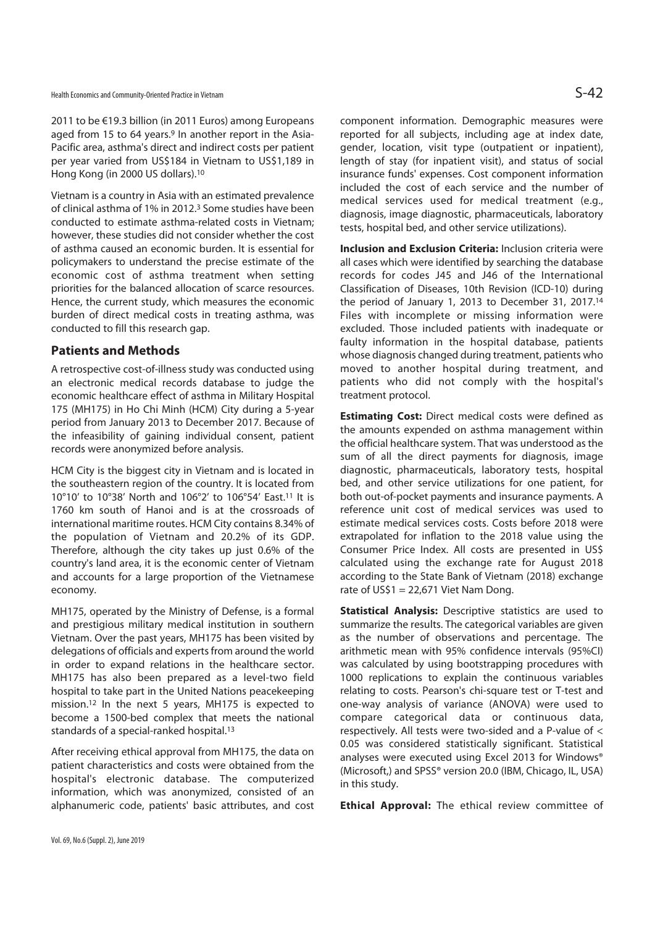2011 to be €19.3 billion (in 2011 Euros) among Europeans aged from 15 to 64 years.<sup>9</sup> In another report in the Asia-Pacific area, asthma's direct and indirect costs per patient per year varied from US\$184 in Vietnam to US\$1,189 in Hong Kong (in 2000 US dollars).10

Vietnam is a country in Asia with an estimated prevalence of clinical asthma of 1% in 2012.3 Some studies have been conducted to estimate asthma-related costs in Vietnam; however, these studies did not consider whether the cost of asthma caused an economic burden. It is essential for policymakers to understand the precise estimate of the economic cost of asthma treatment when setting priorities for the balanced allocation of scarce resources. Hence, the current study, which measures the economic burden of direct medical costs in treating asthma, was conducted to fill this research gap.

# **Patients and Methods**

A retrospective cost-of-illness study was conducted using an electronic medical records database to judge the economic healthcare effect of asthma in Military Hospital 175 (MH175) in Ho Chi Minh (HCM) City during a 5-year period from January 2013 to December 2017. Because of the infeasibility of gaining individual consent, patient records were anonymized before analysis.

HCM City is the biggest city in Vietnam and is located in the southeastern region of the country. It is located from 10°10' to 10°38' North and 106°2' to 106°54' East.11 It is 1760 km south of Hanoi and is at the crossroads of international maritime routes. HCM City contains 8.34% of the population of Vietnam and 20.2% of its GDP. Therefore, although the city takes up just 0.6% of the country's land area, it is the economic center of Vietnam and accounts for a large proportion of the Vietnamese economy.

MH175, operated by the Ministry of Defense, is a formal and prestigious military medical institution in southern Vietnam. Over the past years, MH175 has been visited by delegations of officials and experts from around the world in order to expand relations in the healthcare sector. MH175 has also been prepared as a level-two field hospital to take part in the United Nations peacekeeping mission.12 In the next 5 years, MH175 is expected to become a 1500-bed complex that meets the national standards of a special-ranked hospital.13

After receiving ethical approval from MH175, the data on patient characteristics and costs were obtained from the hospital's electronic database. The computerized information, which was anonymized, consisted of an alphanumeric code, patients' basic attributes, and cost component information. Demographic measures were reported for all subjects, including age at index date, gender, location, visit type (outpatient or inpatient), length of stay (for inpatient visit), and status of social insurance funds' expenses. Cost component information included the cost of each service and the number of medical services used for medical treatment (e.g., diagnosis, image diagnostic, pharmaceuticals, laboratory tests, hospital bed, and other service utilizations).

**Inclusion and Exclusion Criteria:** Inclusion criteria were all cases which were identified by searching the database records for codes J45 and J46 of the International Classification of Diseases, 10th Revision (ICD-10) during the period of January 1, 2013 to December 31, 2017.14 Files with incomplete or missing information were excluded. Those included patients with inadequate or faulty information in the hospital database, patients whose diagnosis changed during treatment, patients who moved to another hospital during treatment, and patients who did not comply with the hospital's treatment protocol.

**Estimating Cost:** Direct medical costs were defined as the amounts expended on asthma management within the official healthcare system. That was understood as the sum of all the direct payments for diagnosis, image diagnostic, pharmaceuticals, laboratory tests, hospital bed, and other service utilizations for one patient, for both out-of-pocket payments and insurance payments. A reference unit cost of medical services was used to estimate medical services costs. Costs before 2018 were extrapolated for inflation to the 2018 value using the Consumer Price Index. All costs are presented in US\$ calculated using the exchange rate for August 2018 according to the State Bank of Vietnam (2018) exchange rate of  $US\$ 1 = 22,671 Viet Nam Dong.

**Statistical Analysis:** Descriptive statistics are used to summarize the results. The categorical variables are given as the number of observations and percentage. The arithmetic mean with 95% confidence intervals (95%CI) was calculated by using bootstrapping procedures with 1000 replications to explain the continuous variables relating to costs. Pearson's chi-square test or T-test and one-way analysis of variance (ANOVA) were used to compare categorical data or continuous data, respectively. All tests were two-sided and a P-value of < 0.05 was considered statistically significant. Statistical analyses were executed using Excel 2013 for Windows® (Microsoft,) and SPSS® version 20.0 (IBM, Chicago, IL, USA) in this study.

**Ethical Approval:** The ethical review committee of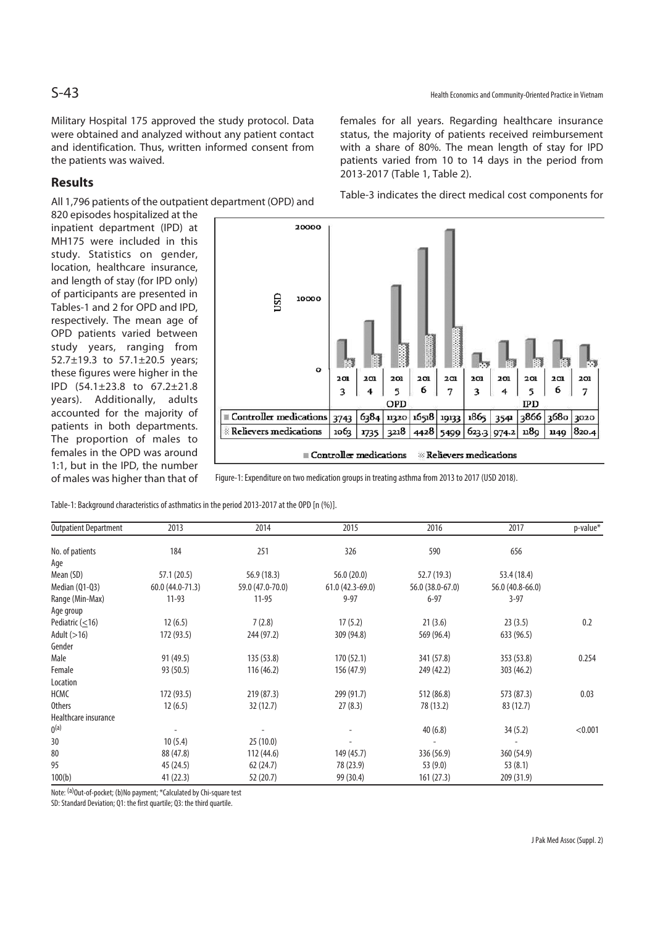Military Hospital 175 approved the study protocol. Data were obtained and analyzed without any patient contact and identification. Thus, written informed consent from the patients was waived.

# **Results**

All 1,796 patients of the outpatient department (OPD) and

820 episodes hospitalized at the inpatient department (IPD) at MH175 were included in this study. Statistics on gender, location, healthcare insurance, and length of stay (for IPD only) of participants are presented in Tables-1 and 2 for OPD and IPD, respectively. The mean age of OPD patients varied between study years, ranging from 52.7±19.3 to 57.1±20.5 years; these figures were higher in the IPD (54.1±23.8 to 67.2±21.8 years). Additionally, adults accounted for the majority of patients in both departments. The proportion of males to females in the OPD was around 1:1, but in the IPD, the number of males was higher than that of females for all years. Regarding healthcare insurance status, the majority of patients received reimbursement with a share of 80%. The mean length of stay for IPD patients varied from 10 to 14 days in the period from 2013-2017 (Table 1, Table 2).

Table-3 indicates the direct medical cost components for



Figure-1: Expenditure on two medication groups in treating asthma from 2013 to 2017 (USD 2018).

Table-1: Background characteristics of asthmatics in the period 2013-2017 at the OPD [n (%)].

| <b>Outpatient Department</b> | 2013             | 2014             | 2015              | 2016             | 2017             | p-value* |  |
|------------------------------|------------------|------------------|-------------------|------------------|------------------|----------|--|
| No. of patients              | 184              | 251              | 326               | 590              | 656              |          |  |
| Age                          |                  |                  |                   |                  |                  |          |  |
| Mean (SD)                    | 57.1 (20.5)      | 56.9 (18.3)      | 56.0(20.0)        | 52.7(19.3)       | 53.4 (18.4)      |          |  |
| Median (Q1-Q3)               | 60.0 (44.0-71.3) | 59.0 (47.0-70.0) | $61.0(42.3-69.0)$ | 56.0 (38.0-67.0) | 56.0 (40.8-66.0) |          |  |
| Range (Min-Max)              | $11-93$          | $11-95$          | $9 - 97$          | $6 - 97$         | $3 - 97$         |          |  |
| Age group                    |                  |                  |                   |                  |                  |          |  |
| Pediatric $(\leq 16)$        | 12(6.5)          | 7(2.8)           | 17(5.2)           | 21(3.6)          | 23(3.5)          | 0.2      |  |
| Adult $(>16)$                | 172 (93.5)       | 244 (97.2)       | 309 (94.8)        | 569 (96.4)       | 633 (96.5)       |          |  |
| Gender                       |                  |                  |                   |                  |                  |          |  |
| Male                         | 91 (49.5)        | 135 (53.8)       | 170(52.1)         | 341 (57.8)       | 353 (53.8)       | 0.254    |  |
| Female                       | 93 (50.5)        | 116 (46.2)       | 156 (47.9)        | 249 (42.2)       | 303(46.2)        |          |  |
| Location                     |                  |                  |                   |                  |                  |          |  |
| HCMC                         | 172 (93.5)       | 219 (87.3)       | 299 (91.7)        | 512 (86.8)       | 573 (87.3)       | 0.03     |  |
| <b>Others</b>                | 12(6.5)          | 32(12.7)         | 27(8.3)           | 78 (13.2)        | 83 (12.7)        |          |  |
| Healthcare insurance         |                  |                  |                   |                  |                  |          |  |
| 0 <sup>(a)</sup>             |                  |                  |                   | 40(6.8)          | 34(5.2)          | < 0.001  |  |
| 30                           | 10(5.4)          | 25(10.0)         |                   |                  |                  |          |  |
| 80                           | 88 (47.8)        | 112 (44.6)       | 149 (45.7)        | 336 (56.9)       | 360 (54.9)       |          |  |
| 95                           | 45 (24.5)        | 62(24.7)         | 78 (23.9)         | 53(9.0)          | 53(8.1)          |          |  |
| 100(b)                       | 41 (22.3)        | 52(20.7)         | 99 (30.4)         | 161(27.3)        | 209 (31.9)       |          |  |

Note: <sup>(a)</sup>Out-of-pocket; (b)No payment; \*Calculated by Chi-square test

SD: Standard Deviation; Q1: the first quartile; Q3: the third quartile.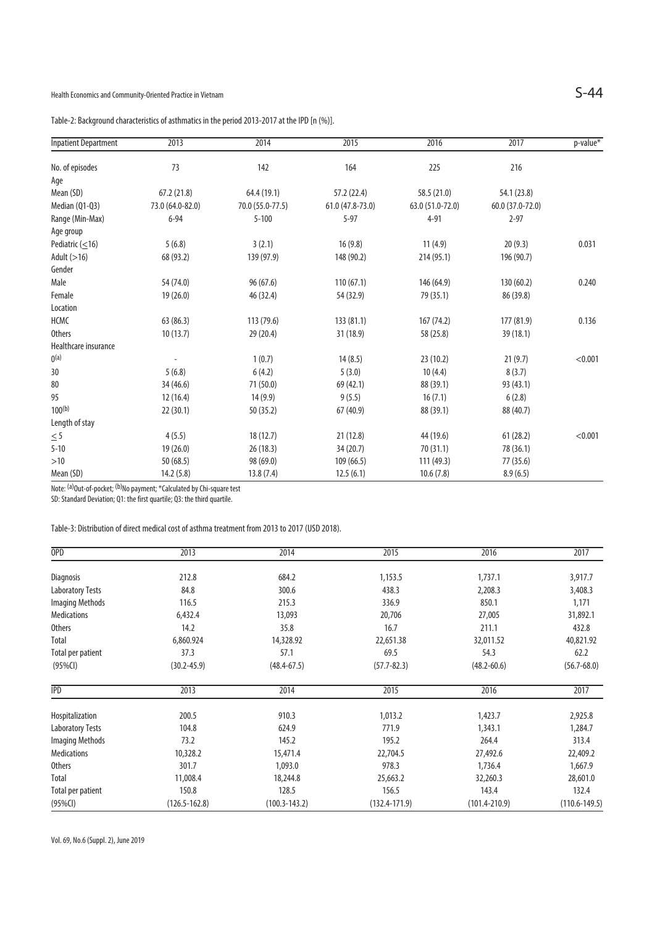Table-2: Background characteristics of asthmatics in the period 2013-2017 at the IPD [n (%)].

| <b>Inpatient Department</b> | 2013             | 2014             | 2015             | 2016             | 2017             | p-value* |  |
|-----------------------------|------------------|------------------|------------------|------------------|------------------|----------|--|
| No. of episodes             | 73               | 142              | 164              | 225              | 216              |          |  |
| Age                         |                  |                  |                  |                  |                  |          |  |
| Mean (SD)                   | 67.2(21.8)       | 64.4 (19.1)      | 57.2 (22.4)      | 58.5 (21.0)      | 54.1 (23.8)      |          |  |
| Median (Q1-Q3)              | 73.0 (64.0-82.0) | 70.0 (55.0-77.5) | 61.0 (47.8-73.0) | 63.0 (51.0-72.0) | 60.0 (37.0-72.0) |          |  |
| Range (Min-Max)             | $6 - 94$         | $5 - 100$        | $5 - 97$         | $4 - 91$         | $2 - 97$         |          |  |
| Age group                   |                  |                  |                  |                  |                  |          |  |
| Pediatric $(\leq 16)$       | 5(6.8)           | 3(2.1)           | 16(9.8)          | 11(4.9)          | 20(9.3)          | 0.031    |  |
| Adult $(>16)$               | 68 (93.2)        | 139 (97.9)       | 148 (90.2)       | 214 (95.1)       | 196 (90.7)       |          |  |
| Gender                      |                  |                  |                  |                  |                  |          |  |
| Male                        | 54 (74.0)        | 96(67.6)         | 110(67.1)        | 146 (64.9)       | 130 (60.2)       | 0.240    |  |
| Female                      | 19(26.0)         | 46 (32.4)        | 54 (32.9)        | 79 (35.1)        | 86 (39.8)        |          |  |
| Location                    |                  |                  |                  |                  |                  |          |  |
| HCMC                        | 63 (86.3)        | 113 (79.6)       | 133 (81.1)       | 167 (74.2)       | 177 (81.9)       | 0.136    |  |
| <b>Others</b>               | 10(13.7)         | 29 (20.4)        | 31 (18.9)        | 58 (25.8)        | 39 (18.1)        |          |  |
| Healthcare insurance        |                  |                  |                  |                  |                  |          |  |
| 0 <sup>(a)</sup>            |                  | 1(0.7)           | 14(8.5)          | 23 (10.2)        | 21(9.7)          | < 0.001  |  |
| 30                          | 5(6.8)           | 6(4.2)           | 5(3.0)           | 10(4.4)          | 8(3.7)           |          |  |
| 80                          | 34 (46.6)        | 71 (50.0)        | 69 (42.1)        | 88 (39.1)        | 93 (43.1)        |          |  |
| 95                          | 12(16.4)         | 14(9.9)          | 9(5.5)           | 16(7.1)          | 6(2.8)           |          |  |
| $100^{(b)}$                 | 22(30.1)         | 50(35.2)         | 67(40.9)         | 88 (39.1)        | 88 (40.7)        |          |  |
| Length of stay              |                  |                  |                  |                  |                  |          |  |
| $\leq 5$                    | 4(5.5)           | 18(12.7)         | 21(12.8)         | 44 (19.6)        | 61(28.2)         | < 0.001  |  |
| $5 - 10$                    | 19 (26.0)        | 26 (18.3)        | 34(20.7)         | 70(31.1)         | 78 (36.1)        |          |  |
| $>10$                       | 50 (68.5)        | 98 (69.0)        | 109 (66.5)       | 111 (49.3)       | 77 (35.6)        |          |  |
| Mean (SD)                   | 14.2(5.8)        | 13.8(7.4)        | 12.5(6.1)        | 10.6(7.8)        | 8.9(6.5)         |          |  |

Note: <sup>(a)</sup>Out-of-pocket; <sup>(b)</sup>No payment; \*Calculated by Chi-square test

SD: Standard Deviation; Q1: the first quartile; Q3: the third quartile.

Table-3: Distribution of direct medical cost of asthma treatment from 2013 to 2017 (USD 2018).

| <b>OPD</b>              | 2013              | 2014              | 2015              | 2016              | 2017              |
|-------------------------|-------------------|-------------------|-------------------|-------------------|-------------------|
| <b>Diagnosis</b>        | 212.8             | 684.2             | 1,153.5           | 1,737.1           | 3,917.7           |
| <b>Laboratory Tests</b> | 84.8              | 300.6             | 438.3             | 2,208.3           | 3,408.3           |
| <b>Imaging Methods</b>  | 116.5             | 215.3             | 336.9             | 850.1             | 1,171             |
| <b>Medications</b>      | 6,432.4           | 13,093            | 20,706            | 27,005            | 31,892.1          |
| Others                  | 14.2              | 35.8              | 16.7              | 211.1             | 432.8             |
| Total                   | 6,860.924         | 14,328.92         | 22,651.38         | 32,011.52         | 40,821.92         |
| Total per patient       | 37.3              | 57.1              | 69.5              | 54.3              | 62.2              |
| (95%Cl)                 | $(30.2 - 45.9)$   | $(48.4 - 67.5)$   | $(57.7 - 82.3)$   | $(48.2 - 60.6)$   | $(56.7 - 68.0)$   |
| <b>IPD</b>              | 2013              | 2014              | 2015              | 2016              | 2017              |
| Hospitalization         | 200.5             | 910.3             | 1,013.2           | 1,423.7           | 2,925.8           |
| <b>Laboratory Tests</b> | 104.8             | 624.9             | 771.9             | 1,343.1           | 1,284.7           |
| <b>Imaging Methods</b>  | 73.2              | 145.2             | 195.2             | 264.4             | 313.4             |
| <b>Medications</b>      | 10,328.2          | 15,471.4          | 22,704.5          | 27,492.6          | 22,409.2          |
| Others                  | 301.7             | 1,093.0           | 978.3             | 1,736.4           | 1,667.9           |
| Total                   | 11,008.4          | 18,244.8          | 25,663.2          | 32,260.3          | 28,601.0          |
| Total per patient       | 150.8             | 128.5             | 156.5             | 143.4             | 132.4             |
| (95%Cl)                 | $(126.5 - 162.8)$ | $(100.3 - 143.2)$ | $(132.4 - 171.9)$ | $(101.4 - 210.9)$ | $(110.6 - 149.5)$ |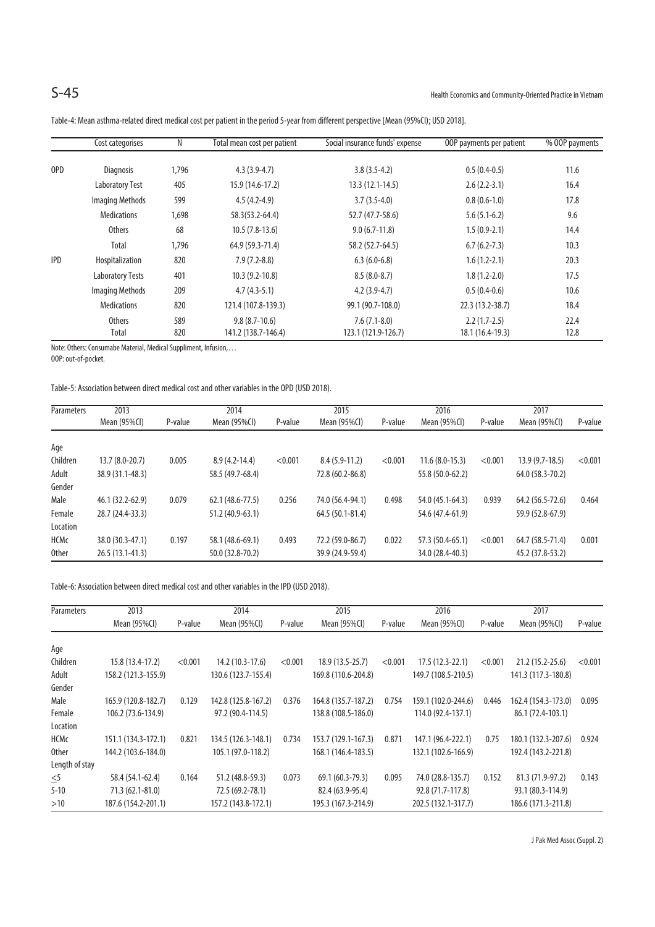|            | Cost categorises        | N     | Total mean cost per patient | Social insurance funds' expense | OOP payments per patient | % OOP payments |
|------------|-------------------------|-------|-----------------------------|---------------------------------|--------------------------|----------------|
| OPD        | <b>Diagnosis</b>        | 1,796 | $4.3(3.9-4.7)$              | $3.8(3.5-4.2)$                  | $0.5(0.4-0.5)$           | 11.6           |
|            | <b>Laboratory Test</b>  | 405   | 15.9 (14.6-17.2)            | $13.3(12.1-14.5)$               | $2.6(2.2-3.1)$           | 16.4           |
|            | <b>Imaging Methods</b>  | 599   | $4.5(4.2-4.9)$              | $3.7(3.5-4.0)$                  | $0.8(0.6-1.0)$           | 17.8           |
|            | <b>Medications</b>      | 1,698 | 58.3(53.2-64.4)             | 52.7 (47.7-58.6)                | $5.6(5.1-6.2)$           | 9.6            |
|            | <b>Others</b>           | 68    | $10.5(7.8-13.6)$            | $9.0(6.7-11.8)$                 | $1.5(0.9-2.1)$           | 14.4           |
|            | Total                   | 1,796 | 64.9 (59.3-71.4)            | 58.2 (52.7-64.5)                | $6.7(6.2-7.3)$           | 10.3           |
| <b>IPD</b> | Hospitalization         | 820   | $7.9(7.2-8.8)$              | $6.3(6.0-6.8)$                  | $1.6(1.2-2.1)$           | 20.3           |
|            | <b>Laboratory Tests</b> | 401   | $10.3(9.2-10.8)$            | $8.5(8.0-8.7)$                  | $1.8(1.2 - 2.0)$         | 17.5           |
|            | <b>Imaging Methods</b>  | 209   | $4.7(4.3-5.1)$              | $4.2(3.9-4.7)$                  | $0.5(0.4-0.6)$           | 10.6           |
|            | <b>Medications</b>      | 820   | 121.4 (107.8-139.3)         | 99.1 (90.7-108.0)               | 22.3 (13.2-38.7)         | 18.4           |
|            | <b>Others</b>           | 589   | $9.8(8.7-10.6)$             | $7.6(7.1-8.0)$                  | $2.2(1.7-2.5)$           | 22.4           |
|            | Total                   | 820   | 141.2 (138.7-146.4)         | 123.1 (121.9-126.7)             | 18.1 (16.4-19.3)         | 12.8           |

Table-4: Mean asthma-related direct medical cost per patient in the period 5-year from different perspective [Mean (95%CI); USD 2018].

Note: Others: Consumabe Material, Medical Suppliment, Infusion,…

OOP: out-of-pocket.

## Table-5: Association between direct medical cost and other variables in the OPD (USD 2018).

| Parameters   | 2013              |         | 2014              |         | 2015              |         | 2016             |         | 2017             |         |
|--------------|-------------------|---------|-------------------|---------|-------------------|---------|------------------|---------|------------------|---------|
|              | Mean (95%CI)      | P-value | Mean (95%CI)      | P-value | Mean (95%CI)      | P-value | Mean $(95\%$ CI) | P-value | Mean (95%CI)     | P-value |
| Age          |                   |         |                   |         |                   |         |                  |         |                  |         |
| Children     | $13.7(8.0-20.7)$  | 0.005   | $8.9(4.2 - 14.4)$ | < 0.001 | $8.4(5.9-11.2)$   | < 0.001 | $11.6(8.0-15.3)$ | < 0.001 | $13.9(9.7-18.5)$ | < 0.001 |
| Adult        | 38.9 (31.1-48.3)  |         | 58.5 (49.7-68.4)  |         | 72.8 (60.2-86.8)  |         | 55.8 (50.0-62.2) |         | 64.0 (58.3-70.2) |         |
| Gender       |                   |         |                   |         |                   |         |                  |         |                  |         |
| Male         | 46.1 (32.2-62.9)  | 0.079   | 62.1 (48.6-77.5)  | 0.256   | 74.0 (56.4-94.1)  | 0.498   | 54.0 (45.1-64.3) | 0.939   | 64.2 (56.5-72.6) | 0.464   |
| Female       | 28.7 (24.4-33.3)  |         | 51.2 (40.9-63.1)  |         | $64.5(50.1-81.4)$ |         | 54.6 (47.4-61.9) |         | 59.9 (52.8-67.9) |         |
| Location     |                   |         |                   |         |                   |         |                  |         |                  |         |
| HCMc         | 38.0 (30.3-47.1)  | 0.197   | 58.1 (48.6-69.1)  | 0.493   | 72.2 (59.0-86.7)  | 0.022   | 57.3 (50.4-65.1) | < 0.001 | 64.7 (58.5-71.4) | 0.001   |
| <b>Other</b> | $26.5(13.1-41.3)$ |         | 50.0 (32.8-70.2)  |         | 39.9 (24.9-59.4)  |         | 34.0 (28.4-40.3) |         | 45.2 (37.8-53.2) |         |

Table-6: Association between direct medical cost and other variables in the IPD (USD 2018).

| Parameters     | 2013                | 2014    |                     | 2015    |                     | 2016    |                     | 2017    |                     |         |
|----------------|---------------------|---------|---------------------|---------|---------------------|---------|---------------------|---------|---------------------|---------|
|                | Mean (95%CI)        | P-value | Mean (95%CI)        | P-value | Mean (95%CI)        | P-value | Mean (95%CI)        | P-value | Mean (95%CI)        | P-value |
| Age            |                     |         |                     |         |                     |         |                     |         |                     |         |
| Children       | 15.8 (13.4-17.2)    | < 0.001 | 14.2 (10.3-17.6)    | < 0.001 | $18.9(13.5-25.7)$   | < 0.001 | $17.5(12.3-22.1)$   | < 0.001 | 21.2 (15.2-25.6)    | < 0.001 |
| Adult          | 158.2 (121.3-155.9) |         | 130.6 (123.7-155.4) |         | 169.8 (110.6-204.8) |         | 149.7 (108.5-210.5) |         | 141.3 (117.3-180.8) |         |
| Gender         |                     |         |                     |         |                     |         |                     |         |                     |         |
| Male           | 165.9 (120.8-182.7) | 0.129   | 142.8 (125.8-167.2) | 0.376   | 164.8 (135.7-187.2) | 0.754   | 159.1 (102.0-244.6) | 0.446   | 162.4 (154.3-173.0) | 0.095   |
| Female         | 106.2 (73.6-134.9)  |         | 97.2 (90.4-114.5)   |         | 138.8 (108.5-186.0) |         | 114.0 (92.4-137.1)  |         | 86.1 (72.4-103.1)   |         |
| Location       |                     |         |                     |         |                     |         |                     |         |                     |         |
| <b>HCMc</b>    | 151.1 (134.3-172.1) | 0.821   | 134.5 (126.3-148.1) | 0.734   | 153.7 (129.1-167.3) | 0.871   | 147.1 (96.4-222.1)  | 0.75    | 180.1 (132.3-207.6) | 0.924   |
| <b>Other</b>   | 144.2 (103.6-184.0) |         | 105.1 (97.0-118.2)  |         | 168.1 (146.4-183.5) |         | 132.1 (102.6-166.9) |         | 192.4 (143.2-221.8) |         |
| Length of stay |                     |         |                     |         |                     |         |                     |         |                     |         |
| $\leq 5$       | 58.4 (54.1-62.4)    | 0.164   | 51.2 (48.8-59.3)    | 0.073   | 69.1 (60.3-79.3)    | 0.095   | 74.0 (28.8-135.7)   | 0.152   | 81.3 (71.9-97.2)    | 0.143   |
| $5 - 10$       | $71.3(62.1 - 81.0)$ |         | 72.5 (69.2-78.1)    |         | 82.4 (63.9-95.4)    |         | 92.8 (71.7-117.8)   |         | 93.1 (80.3-114.9)   |         |
| >10            | 187.6 (154.2-201.1) |         | 157.2 (143.8-172.1) |         | 195.3 (167.3-214.9) |         | 202.5 (132.1-317.7) |         | 186.6 (171.3-211.8) |         |

J Pak Med Assoc (Suppl. 2)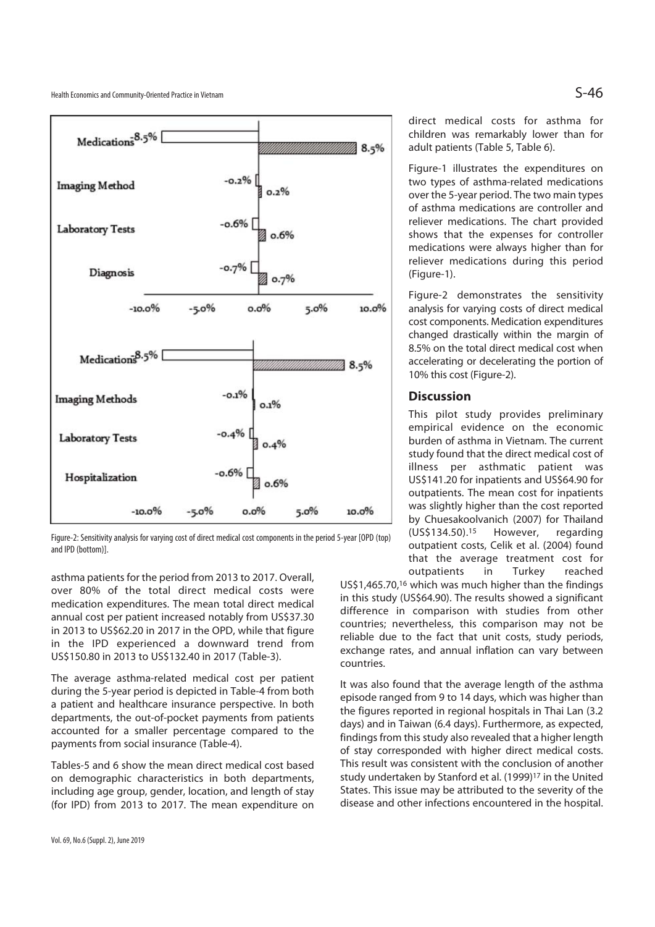Health Economics and Community-Oriented Practice in Vietnam  $S-46$ 



Figure-2: Sensitivity analysis for varying cost of direct medical cost components in the period 5-year [OPD (top) and IPD (bottom)].

asthma patients for the period from 2013 to 2017. Overall, over 80% of the total direct medical costs were medication expenditures. The mean total direct medical annual cost per patient increased notably from US\$37.30 in 2013 to US\$62.20 in 2017 in the OPD, while that figure in the IPD experienced a downward trend from US\$150.80 in 2013 to US\$132.40 in 2017 (Table-3).

The average asthma-related medical cost per patient during the 5-year period is depicted in Table-4 from both a patient and healthcare insurance perspective. In both departments, the out-of-pocket payments from patients accounted for a smaller percentage compared to the payments from social insurance (Table-4).

Tables-5 and 6 show the mean direct medical cost based on demographic characteristics in both departments, including age group, gender, location, and length of stay (for IPD) from 2013 to 2017. The mean expenditure on direct medical costs for asthma for children was remarkably lower than for adult patients (Table 5, Table 6).

Figure-1 illustrates the expenditures on two types of asthma-related medications over the 5-year period. The two main types of asthma medications are controller and reliever medications. The chart provided shows that the expenses for controller medications were always higher than for reliever medications during this period (Figure-1).

Figure-2 demonstrates the sensitivity analysis for varying costs of direct medical cost components. Medication expenditures changed drastically within the margin of 8.5% on the total direct medical cost when accelerating or decelerating the portion of 10% this cost (Figure-2).

## **Discussion**

This pilot study provides preliminary empirical evidence on the economic burden of asthma in Vietnam. The current study found that the direct medical cost of illness per asthmatic patient was US\$141.20 for inpatients and US\$64.90 for outpatients. The mean cost for inpatients was slightly higher than the cost reported by Chuesakoolvanich (2007) for Thailand (US\$134.50).15 However, regarding outpatient costs, Celik et al. (2004) found that the average treatment cost for outpatients in Turkey reached

US\$1,465.70,16 which was much higher than the findings in this study (US\$64.90). The results showed a significant difference in comparison with studies from other countries; nevertheless, this comparison may not be reliable due to the fact that unit costs, study periods, exchange rates, and annual inflation can vary between countries.

It was also found that the average length of the asthma episode ranged from 9 to 14 days, which was higher than the figures reported in regional hospitals in Thai Lan (3.2 days) and in Taiwan (6.4 days). Furthermore, as expected, findings from this study also revealed that a higher length of stay corresponded with higher direct medical costs. This result was consistent with the conclusion of another study undertaken by Stanford et al. (1999)<sup>17</sup> in the United States. This issue may be attributed to the severity of the disease and other infections encountered in the hospital.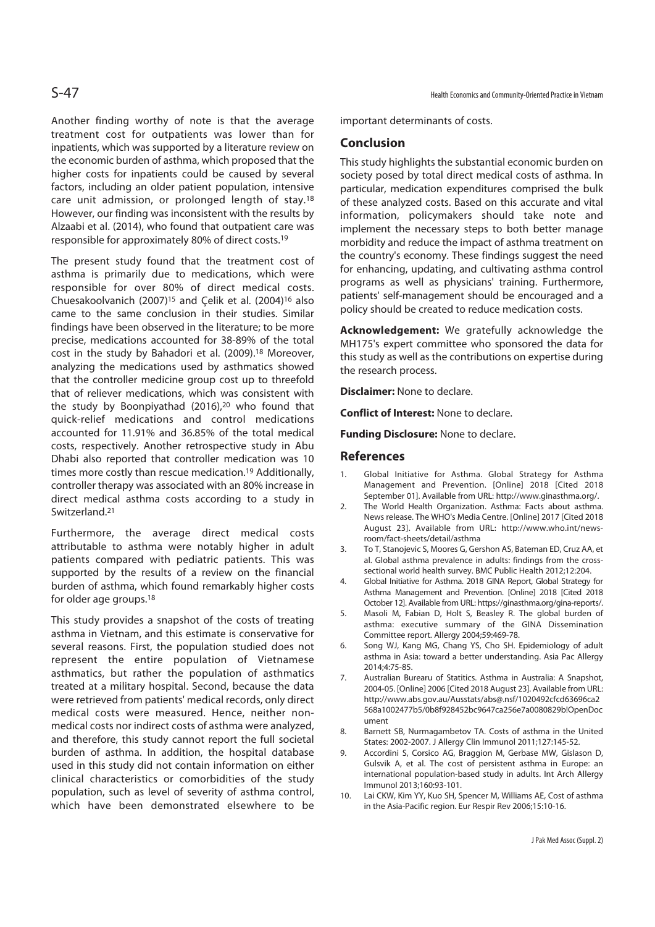Another finding worthy of note is that the average treatment cost for outpatients was lower than for inpatients, which was supported by a literature review on the economic burden of asthma, which proposed that the higher costs for inpatients could be caused by several factors, including an older patient population, intensive care unit admission, or prolonged length of stay.18 However, our finding was inconsistent with the results by Alzaabi et al. (2014), who found that outpatient care was responsible for approximately 80% of direct costs.19

The present study found that the treatment cost of asthma is primarily due to medications, which were responsible for over 80% of direct medical costs. Chuesakoolvanich (2007)15 and Çelik et al. (2004)16 also came to the same conclusion in their studies. Similar findings have been observed in the literature; to be more precise, medications accounted for 38-89% of the total cost in the study by Bahadori et al. (2009).18 Moreover, analyzing the medications used by asthmatics showed that the controller medicine group cost up to threefold that of reliever medications, which was consistent with the study by Boonpiyathad (2016),<sup>20</sup> who found that quick-relief medications and control medications accounted for 11.91% and 36.85% of the total medical costs, respectively. Another retrospective study in Abu Dhabi also reported that controller medication was 10 times more costly than rescue medication.19 Additionally, controller therapy was associated with an 80% increase in direct medical asthma costs according to a study in Switzerland.21

Furthermore, the average direct medical costs attributable to asthma were notably higher in adult patients compared with pediatric patients. This was supported by the results of a review on the financial burden of asthma, which found remarkably higher costs for older age groups.<sup>18</sup>

This study provides a snapshot of the costs of treating asthma in Vietnam, and this estimate is conservative for several reasons. First, the population studied does not represent the entire population of Vietnamese asthmatics, but rather the population of asthmatics treated at a military hospital. Second, because the data were retrieved from patients' medical records, only direct medical costs were measured. Hence, neither nonmedical costs nor indirect costs of asthma were analyzed, and therefore, this study cannot report the full societal burden of asthma. In addition, the hospital database used in this study did not contain information on either clinical characteristics or comorbidities of the study population, such as level of severity of asthma control, which have been demonstrated elsewhere to be

important determinants of costs.

### **Conclusion**

This study highlights the substantial economic burden on society posed by total direct medical costs of asthma. In particular, medication expenditures comprised the bulk of these analyzed costs. Based on this accurate and vital information, policymakers should take note and implement the necessary steps to both better manage morbidity and reduce the impact of asthma treatment on the country's economy. These findings suggest the need for enhancing, updating, and cultivating asthma control programs as well as physicians' training. Furthermore, patients' self-management should be encouraged and a policy should be created to reduce medication costs.

**Acknowledgement:** We gratefully acknowledge the MH175's expert committee who sponsored the data for this study as well as the contributions on expertise during the research process.

**Disclaimer:** None to declare.

**Conflict of Interest:** None to declare.

**Funding Disclosure:** None to declare.

### **References**

- 1. Global Initiative for Asthma. Global Strategy for Asthma Management and Prevention. [Online] 2018 [Cited 2018 September 01]. Available from URL: http://www.ginasthma.org/.
- 2. The World Health Organization. Asthma: Facts about asthma. News release. The WHO's Media Centre. [Online] 2017 [Cited 2018 August 23]. Available from URL: http://www.who.int/newsroom/fact-sheets/detail/asthma
- 3. To T, Stanojevic S, Moores G, Gershon AS, Bateman ED, Cruz AA, et al. Global asthma prevalence in adults: findings from the crosssectional world health survey. BMC Public Health 2012;12:204.
- 4. Global Initiative for Asthma. 2018 GINA Report, Global Strategy for Asthma Management and Prevention. [Online] 2018 [Cited 2018 October 12]. Available from URL: https://ginasthma.org/gina-reports/.
- 5. Masoli M, Fabian D, Holt S, Beasley R. The global burden of asthma: executive summary of the GINA Dissemination Committee report. Allergy 2004;59:469-78.
- 6. Song WJ, Kang MG, Chang YS, Cho SH. Epidemiology of adult asthma in Asia: toward a better understanding. Asia Pac Allergy 2014;4:75-85.
- 7. Australian Burearu of Statitics. Asthma in Australia: A Snapshot, 2004-05. [Online] 2006 [Cited 2018 August 23]. Available from URL: http://www.abs.gov.au/Ausstats/abs@.nsf/1020492cfcd63696ca2 568a1002477b5/0b8f928452bc9647ca256e7a0080829b!OpenDoc ument
- 8. Barnett SB, Nurmagambetov TA. Costs of asthma in the United States: 2002-2007. J Allergy Clin Immunol 2011;127:145-52.
- 9. Accordini S, Corsico AG, Braggion M, Gerbase MW, Gislason D, Gulsvik A, et al. The cost of persistent asthma in Europe: an international population-based study in adults. Int Arch Allergy Immunol 2013;160:93-101.
- 10. Lai CKW, Kim YY, Kuo SH, Spencer M, Williams AE, Cost of asthma in the Asia-Pacific region. Eur Respir Rev 2006;15:10-16.